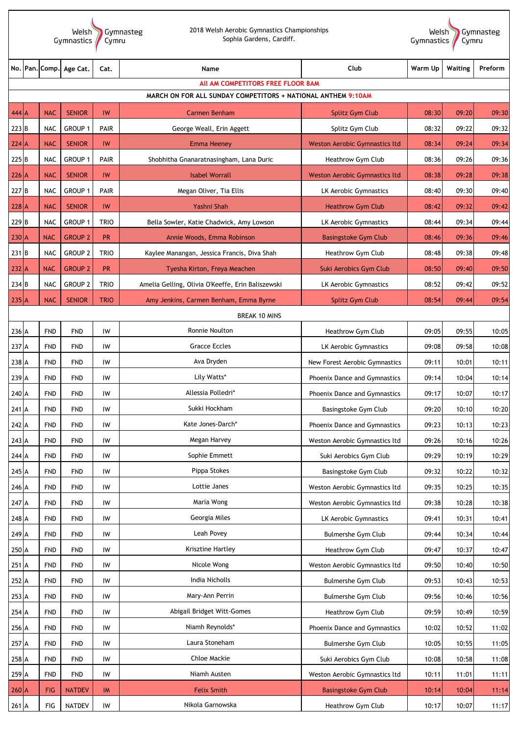Welsh Gymnasteg<br>Gymnastics Cymru

2018 Welsh Aerobic Gymnastics Championships Sophia Gardens, Cardiff.

Welsh<br>Gymnastics Gymnasteg<br>Cymru

| No.              |                                                              | Pan. Comp. | Age Cat.       | Cat.        | Name                                              | Club                          | Warm Up | Waiting | Preform |  |
|------------------|--------------------------------------------------------------|------------|----------------|-------------|---------------------------------------------------|-------------------------------|---------|---------|---------|--|
|                  |                                                              |            |                |             | All AM COMPETITORS FREE FLOOR 8AM                 |                               |         |         |         |  |
|                  | MARCH ON FOR ALL SUNDAY COMPETITORS + NATIONAL ANTHEM 9:10AM |            |                |             |                                                   |                               |         |         |         |  |
| $444$ A          |                                                              | <b>NAC</b> | <b>SENIOR</b>  | IW          | <b>Carmen Benham</b>                              | Splitz Gym Club               | 08:30   | 09:20   | 09:30   |  |
| $223$ B          |                                                              | <b>NAC</b> | GROUP 1        | PAIR        | George Weall, Erin Aggett                         | Splitz Gym Club               | 08:32   | 09:22   | 09:32   |  |
| $224$ A          |                                                              | <b>NAC</b> | <b>SENIOR</b>  | IW          | <b>Emma Heeney</b>                                | Weston Aerobic Gymnastics ltd | 08:34   | 09:24   | 09:34   |  |
| 225B             |                                                              | <b>NAC</b> | GROUP 1        | PAIR        | Shobhitha Gnanaratnasingham, Lana Duric           | Heathrow Gym Club             | 08:36   | 09:26   | 09:36   |  |
| $226$ A          |                                                              | <b>NAC</b> | <b>SENIOR</b>  | IW          | <b>Isabel Worrall</b>                             | Weston Aerobic Gymnastics ltd | 08:38   | 09:28   | 09:38   |  |
| 227 B            |                                                              | <b>NAC</b> | GROUP 1        | PAIR        | Megan Oliver, Tia Ellis                           | LK Aerobic Gymnastics         | 08:40   | 09:30   | 09:40   |  |
| $228$ A          |                                                              | <b>NAC</b> | <b>SENIOR</b>  | IW          | Yashni Shah                                       | <b>Heathrow Gym Club</b>      | 08:42   | 09:32   | 09:42   |  |
| 229 <sub>B</sub> |                                                              | <b>NAC</b> | GROUP 1        | <b>TRIO</b> | Bella Sowler, Katie Chadwick, Amy Lowson          | LK Aerobic Gymnastics         | 08:44   | 09:34   | 09:44   |  |
| $230$ A          |                                                              | <b>NAC</b> | <b>GROUP 2</b> | <b>PR</b>   | Annie Woods, Emma Robinson                        | <b>Basingstoke Gym Club</b>   | 08:46   | 09:36   | 09:46   |  |
| $231$ B          |                                                              | <b>NAC</b> | <b>GROUP 2</b> | <b>TRIO</b> | Kaylee Manangan, Jessica Francis, Diva Shah       | Heathrow Gym Club             | 08:48   | 09:38   | 09:48   |  |
| $232$ A          |                                                              | <b>NAC</b> | <b>GROUP 2</b> | <b>PR</b>   | Tyesha Kirton, Freya Meachen                      | Suki Aerobics Gym Club        | 08:50   | 09:40   | 09:50   |  |
| 234 B            |                                                              | <b>NAC</b> | <b>GROUP 2</b> | <b>TRIO</b> | Amelia Gelling, Olivia O'Keeffe, Erin Baliszewski | LK Aerobic Gymnastics         | 08:52   | 09:42   | 09:52   |  |
| $235$ A          |                                                              | <b>NAC</b> | <b>SENIOR</b>  | <b>TRIO</b> | Amy Jenkins, Carmen Benham, Emma Byrne            | Splitz Gym Club               | 08:54   | 09:44   | 09:54   |  |
|                  |                                                              |            |                |             | <b>BREAK 10 MINS</b>                              |                               |         |         |         |  |
| 236 A            |                                                              | <b>FND</b> | <b>FND</b>     | IW          | Ronnie Noulton                                    | Heathrow Gym Club             | 09:05   | 09:55   | 10:05   |  |
| 237 A            |                                                              | <b>FND</b> | <b>FND</b>     | IW          | <b>Gracce Eccles</b>                              | LK Aerobic Gymnastics         | 09:08   | 09:58   | 10:08   |  |
| 238 A            |                                                              | <b>FND</b> | <b>FND</b>     | IW          | Ava Dryden                                        | New Forest Aerobic Gymnastics | 09:11   | 10:01   | 10:11   |  |
| 239 A            |                                                              | <b>FND</b> | <b>FND</b>     | IW          | Lily Watts*                                       | Phoenix Dance and Gymnastics  | 09:14   | 10:04   | 10:14   |  |
| 240 A            |                                                              | <b>FND</b> | <b>FND</b>     | IW          | Allessia Polledri*                                | Phoenix Dance and Gymnastics  | 09:17   | 10:07   | 10:17   |  |
| 241 A            |                                                              | <b>FND</b> | <b>FND</b>     | IW          | Sukki Hockham                                     | Basingstoke Gym Club          | 09:20   | 10:10   | 10:20   |  |
| 242 A            |                                                              | <b>FND</b> | <b>FND</b>     | IW          | Kate Jones-Darch*                                 | Phoenix Dance and Gymnastics  | 09:23   | 10:13   | 10:23   |  |
| 243 A            |                                                              | <b>FND</b> | <b>FND</b>     | IW          | Megan Harvey                                      | Weston Aerobic Gymnastics ltd | 09:26   | 10:16   | 10:26   |  |
| 244 A            |                                                              | <b>FND</b> | <b>FND</b>     | IW          | Sophie Emmett                                     | Suki Aerobics Gym Club        | 09:29   | 10:19   | 10:29   |  |
| 245 A            |                                                              | <b>FND</b> | <b>FND</b>     | IW          | Pippa Stokes                                      | Basingstoke Gym Club          | 09:32   | 10:22   | 10:32   |  |
| 246 A            |                                                              | <b>FND</b> | <b>FND</b>     | IW          | Lottie Janes                                      | Weston Aerobic Gymnastics ltd | 09:35   | 10:25   | 10:35   |  |
| 247 A            |                                                              | <b>FND</b> | FND            | IW          | Maria Wong                                        | Weston Aerobic Gymnastics ltd | 09:38   | 10:28   | 10:38   |  |
| 248 A            |                                                              | <b>FND</b> | <b>FND</b>     | IW          | Georgia Miles                                     | LK Aerobic Gymnastics         | 09:41   | 10:31   | 10:41   |  |
| 249 A            |                                                              | <b>FND</b> | <b>FND</b>     | IW          | Leah Povey                                        | <b>Bulmershe Gym Club</b>     | 09:44   | 10:34   | 10:44   |  |
| 250 A            |                                                              | <b>FND</b> | <b>FND</b>     | IW          | Krisztine Hartley                                 | Heathrow Gym Club             | 09:47   | 10:37   | 10:47   |  |
| 251 A            |                                                              | <b>FND</b> | <b>FND</b>     | IW          | Nicole Wong                                       | Weston Aerobic Gymnastics ltd | 09:50   | 10:40   | 10:50   |  |
| 252 A            |                                                              | <b>FND</b> | <b>FND</b>     | IW          | India Nicholls                                    | <b>Bulmershe Gym Club</b>     | 09:53   | 10:43   | 10:53   |  |
| 253 A            |                                                              | <b>FND</b> | <b>FND</b>     | IW          | Mary-Ann Perrin                                   | <b>Bulmershe Gym Club</b>     | 09:56   | 10:46   | 10:56   |  |
| 254 A            |                                                              | <b>FND</b> | <b>FND</b>     | IW          | Abigail Bridget Witt-Gomes                        | Heathrow Gym Club             | 09:59   | 10:49   | 10:59   |  |
| 256 A            |                                                              | <b>FND</b> | <b>FND</b>     | IW          | Niamh Reynolds*                                   | Phoenix Dance and Gymnastics  | 10:02   | 10:52   | 11:02   |  |
| 257 A            |                                                              | <b>FND</b> | <b>FND</b>     | IW          | Laura Stoneham                                    | <b>Bulmershe Gym Club</b>     | 10:05   | 10:55   | 11:05   |  |
| 258 A            |                                                              | <b>FND</b> | <b>FND</b>     | IW          | Chloe Mackie                                      | Suki Aerobics Gym Club        | 10:08   | 10:58   | 11:08   |  |
| 259 A            |                                                              | <b>FND</b> | FND            | IW          | Niamh Austen                                      | Weston Aerobic Gymnastics ltd | 10:11   | 11:01   | 11:11   |  |
| $260$ A          |                                                              | <b>FIG</b> | <b>NATDEV</b>  | IM          | <b>Felix Smith</b>                                | <b>Basingstoke Gym Club</b>   | 10:14   | 10:04   | 11:14   |  |
| 261 A            |                                                              | FIG        | <b>NATDEV</b>  | IW          | Nikola Garnowska                                  | Heathrow Gym Club             | 10:17   | 10:07   | 11:17   |  |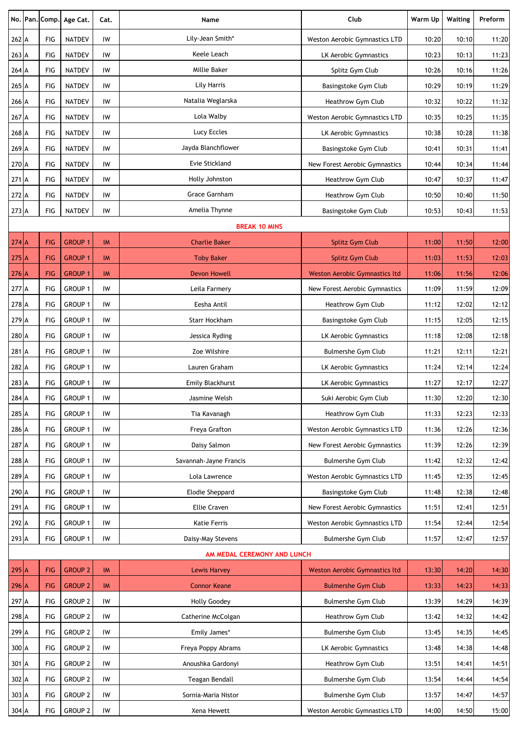|                             |  | No. Pan. Comp. | Age Cat.           | Cat.      | Name                    | Club                                 | Warm Up | Waiting | Preform |
|-----------------------------|--|----------------|--------------------|-----------|-------------------------|--------------------------------------|---------|---------|---------|
| 262 A                       |  | FIG            | <b>NATDEV</b>      | IW        | Lily-Jean Smith*        | Weston Aerobic Gymnastics LTD        | 10:20   | 10:10   | 11:20   |
| 263 A                       |  | FIG            | <b>NATDEV</b>      | IW        | <b>Keele Leach</b>      | LK Aerobic Gymnastics                | 10:23   | 10:13   | 11:23   |
| $264$ A                     |  | FIG            | <b>NATDEV</b>      | IW        | Millie Baker            | Splitz Gym Club                      | 10:26   | 10:16   | 11:26   |
| 265 A                       |  | FIG            | <b>NATDEV</b>      | IW        | Lily Harris             | Basingstoke Gym Club                 | 10:29   | 10:19   | 11:29   |
| 266 A                       |  | FIG            | <b>NATDEV</b>      | IW        | Natalia Weglarska       | Heathrow Gym Club                    | 10:32   | 10:22   | 11:32   |
| 267 A                       |  | FIG            | <b>NATDEV</b>      | IW        | Lola Walby              | <b>Weston Aerobic Gymnastics LTD</b> | 10:35   | 10:25   | 11:35   |
| 268 A                       |  | FIG            | <b>NATDEV</b>      | IW        | Lucy Eccles             | LK Aerobic Gymnastics                | 10:38   | 10:28   | 11:38   |
| 269 A                       |  | FIG            | <b>NATDEV</b>      | IW        | Jayda Blanchflower      | Basingstoke Gym Club                 | 10:41   | 10:31   | 11:41   |
| 270 A                       |  | FIG            | <b>NATDEV</b>      | IW        | Evie Stickland          | New Forest Aerobic Gymnastics        | 10:44   | 10:34   | 11:44   |
| 271 A                       |  | FIG            | <b>NATDEV</b>      | IW        | Holly Johnston          | Heathrow Gym Club                    | 10:47   | 10:37   | 11:47   |
| 272 A                       |  | FIG            | <b>NATDEV</b>      | IW        | Grace Garnham           | Heathrow Gym Club                    | 10:50   | 10:40   | 11:50   |
| 273 A                       |  | FIG            | <b>NATDEV</b>      | IW        | Amelia Thynne           | Basingstoke Gym Club                 | 10:53   | 10:43   | 11:53   |
| <b>BREAK 10 MINS</b>        |  |                |                    |           |                         |                                      |         |         |         |
| $274$ A                     |  | <b>FIG</b>     | <b>GROUP 1</b>     | <b>IM</b> | <b>Charlie Baker</b>    | <b>Splitz Gym Club</b>               | 11:00   | 11:50   | 12:00   |
| $275$ A                     |  | <b>FIG</b>     | <b>GROUP 1</b>     | IM        | <b>Toby Baker</b>       | Splitz Gym Club                      | 11:03   | 11:53   | 12:03   |
| $276$ A                     |  | <b>FIG</b>     | <b>GROUP 1</b>     | <b>IM</b> | <b>Devon Howell</b>     | Weston Aerobic Gymnastics ltd        | 11:06   | 11:56   | 12:06   |
| 277 A                       |  | FIG            | <b>GROUP 1</b>     | IW        | Leila Farmery           | New Forest Aerobic Gymnastics        | 11:09   | 11:59   | 12:09   |
| 278 A                       |  | FIG            | <b>GROUP 1</b>     | IW        | Eesha Antil             | Heathrow Gym Club                    | 11:12   | 12:02   | 12:12   |
| 279 A                       |  | FIG            | <b>GROUP 1</b>     | IW        | Starr Hockham           | Basingstoke Gym Club                 | 11:15   | 12:05   | 12:15   |
| 280 A                       |  | FIG            | <b>GROUP 1</b>     | IW        | Jessica Ryding          | LK Aerobic Gymnastics                | 11:18   | 12:08   | 12:18   |
| 281 A                       |  | FIG            | <b>GROUP 1</b>     | IW        | Zoe Wilshire            | <b>Bulmershe Gym Club</b>            | 11:21   | 12:11   | 12:21   |
| 282 A                       |  | FIG            | <b>GROUP 1</b>     | IW        | Lauren Graham           | LK Aerobic Gymnastics                | 11:24   | 12:14   | 12:24   |
| 283 A                       |  | FIG            | <b>GROUP 1</b>     | IW        | <b>Emily Blackhurst</b> | LK Aerobic Gymnastics                | 11:27   | 12:17   | 12:27   |
| 284 A                       |  | FIG            | GROUP 1            | IW        | Jasmine Welsh           | Suki Aerobic Gym Club                | 11:30   | 12:20   | 12:30   |
| 285 A                       |  | FIG            | <b>GROUP 1</b>     | IW        | Tia Kavanagh            | Heathrow Gym Club                    | 11:33   | 12:23   | 12:33   |
| 286 A                       |  | FIG            | <b>GROUP 1</b>     | IW        | Freya Grafton           | Weston Aerobic Gymnastics LTD        | 11:36   | 12:26   | 12:36   |
| 287 A                       |  | FIG            | GROUP 1            | IW        | Daisy Salmon            | New Forest Aerobic Gymnastics        | 11:39   | 12:26   | 12:39   |
| 288 A                       |  | FIG            | <b>GROUP 1</b>     | IW        | Savannah-Jayne Francis  | <b>Bulmershe Gym Club</b>            | 11:42   | 12:32   | 12:42   |
| 289 A                       |  | FIG            | <b>GROUP 1</b>     | IW        | Lola Lawrence           | Weston Aerobic Gymnastics LTD        | 11:45   | 12:35   | 12:45   |
| 290 A                       |  | FIG            | GROUP 1            | IW        | <b>Elodie Sheppard</b>  | Basingstoke Gym Club                 | 11:48   | 12:38   | 12:48   |
| 291 A                       |  | FIG            | <b>GROUP 1</b>     | IW        | <b>Ellie Craven</b>     | New Forest Aerobic Gymnastics        | 11:51   | 12:41   | 12:51   |
| 292 A                       |  | FIG            | GROUP 1            | IW        | Katie Ferris            | Weston Aerobic Gymnastics LTD        | 11:54   | 12:44   | 12:54   |
| 293 A                       |  | FIG            | <b>GROUP 1</b>     | IW        | Daisy-May Stevens       | <b>Bulmershe Gym Club</b>            | 11:57   | 12:47   | 12:57   |
| AM MEDAL CEREMONY AND LUNCH |  |                |                    |           |                         |                                      |         |         |         |
| $295$ A                     |  | <b>FIG</b>     | <b>GROUP 2</b>     | <b>IM</b> | <b>Lewis Harvey</b>     | <b>Weston Aerobic Gymnastics ltd</b> | 13:30   | 14:20   | 14:30   |
| $296$ A                     |  | <b>FIG</b>     | <b>GROUP 2</b>     | <b>IM</b> | <b>Connor Keane</b>     | <b>Bulmershe Gym Club</b>            | 13:33   | 14:23   | 14:33   |
| 297 A                       |  | FIG            | <b>GROUP 2</b>     | IW        | <b>Holly Goodey</b>     | <b>Bulmershe Gym Club</b>            | 13:39   | 14:29   | 14:39   |
| 298 A                       |  | FIG            | <b>GROUP 2</b>     | IW        | Catherine McColgan      | Heathrow Gym Club                    | 13:42   | 14:32   | 14:42   |
| 299 A                       |  | FIG            | <b>GROUP 2</b>     | IW        | Emily James*            | <b>Bulmershe Gym Club</b>            | 13:45   | 14:35   | 14:45   |
| 300 A                       |  | FIG            | <b>GROUP 2</b>     | IW        | Freya Poppy Abrams      | LK Aerobic Gymnastics                | 13:48   | 14:38   | 14:48   |
| 301 A                       |  | FIG            | <b>GROUP 2</b>     | IW        | Anoushka Gardonyi       | Heathrow Gym Club                    | 13:51   | 14:41   | 14:51   |
| 302 A                       |  | FIG            | <b>GROUP 2</b>     | IW        | Teagan Bendall          | <b>Bulmershe Gym Club</b>            | 13:54   | 14:44   | 14:54   |
| 303 A                       |  | FIG            | <b>GROUP 2</b>     | IW        | Sornia-Maria Nistor     | <b>Bulmershe Gym Club</b>            | 13:57   | 14:47   | 14:57   |
| 304 A                       |  | FIG            | GROUP <sub>2</sub> | IW        | Xena Hewett             | Weston Aerobic Gymnastics LTD        | 14:00   | 14:50   | 15:00   |